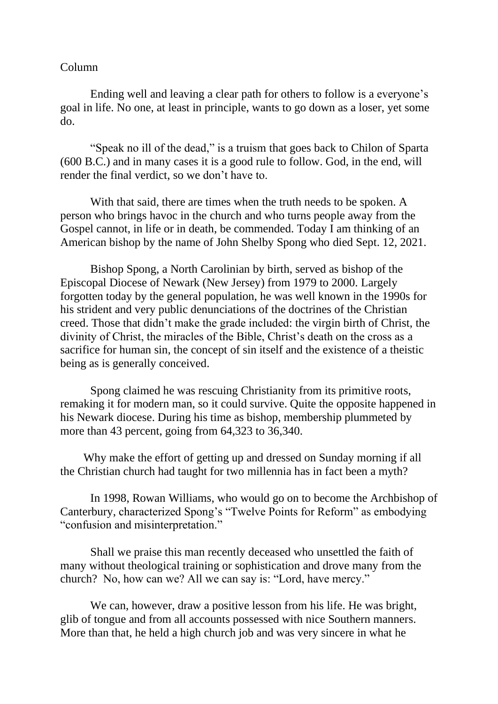## Column

Ending well and leaving a clear path for others to follow is a everyone's goal in life. No one, at least in principle, wants to go down as a loser, yet some do.

"Speak no ill of the dead," is a truism that goes back to Chilon of Sparta (600 B.C.) and in many cases it is a good rule to follow. God, in the end, will render the final verdict, so we don't have to.

With that said, there are times when the truth needs to be spoken. A person who brings havoc in the church and who turns people away from the Gospel cannot, in life or in death, be commended. Today I am thinking of an American bishop by the name of John Shelby Spong who died Sept. 12, 2021.

Bishop Spong, a North Carolinian by birth, served as bishop of the Episcopal Diocese of Newark (New Jersey) from 1979 to 2000. Largely forgotten today by the general population, he was well known in the 1990s for his strident and very public denunciations of the doctrines of the Christian creed. Those that didn't make the grade included: the virgin birth of Christ, the divinity of Christ, the miracles of the Bible, Christ's death on the cross as a sacrifice for human sin, the concept of sin itself and the existence of a theistic being as is generally conceived.

Spong claimed he was rescuing Christianity from its primitive roots, remaking it for modern man, so it could survive. Quite the opposite happened in his Newark diocese. During his time as bishop, membership plummeted by more than 43 percent, going from 64,323 to 36,340.

 Why make the effort of getting up and dressed on Sunday morning if all the Christian church had taught for two millennia has in fact been a myth?

In 1998, Rowan Williams, who would go on to become the Archbishop of Canterbury, characterized Spong's "Twelve Points for Reform" as embodying "confusion and misinterpretation."

Shall we praise this man recently deceased who unsettled the faith of many without theological training or sophistication and drove many from the church? No, how can we? All we can say is: "Lord, have mercy."

We can, however, draw a positive lesson from his life. He was bright, glib of tongue and from all accounts possessed with nice Southern manners. More than that, he held a high church job and was very sincere in what he